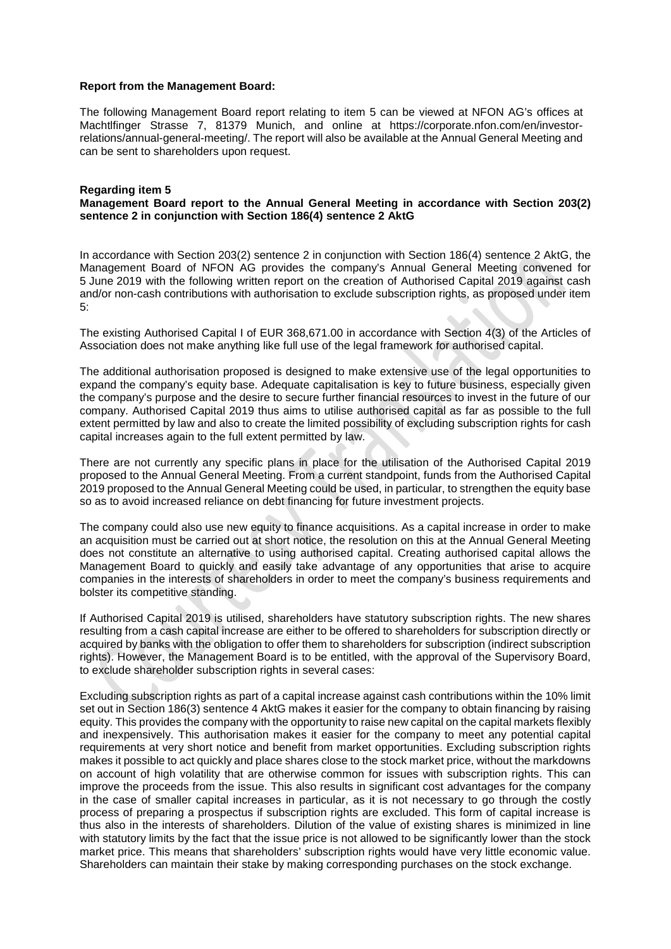## **Report from the Management Board:**

The following Management Board report relating to item 5 can be viewed at NFON AG's offices at Machtlfinger Strasse 7, 81379 Munich, and online at https://corporate.nfon.com/en/investorrelations/annual-general-meeting/. The report will also be available at the Annual General Meeting and can be sent to shareholders upon request.

## **Regarding item 5 Management Board report to the Annual General Meeting in accordance with Section 203(2) sentence 2 in conjunction with Section 186(4) sentence 2 AktG**

In accordance with Section 203(2) sentence 2 in conjunction with Section 186(4) sentence 2 AktG, the Management Board of NFON AG provides the company's Annual General Meeting convened for 5 June 2019 with the following written report on the creation of Authorised Capital 2019 against cash and/or non-cash contributions with authorisation to exclude subscription rights, as proposed under item 5:

The existing Authorised Capital I of EUR 368,671.00 in accordance with Section 4(3) of the Articles of Association does not make anything like full use of the legal framework for authorised capital.

The additional authorisation proposed is designed to make extensive use of the legal opportunities to expand the company's equity base. Adequate capitalisation is key to future business, especially given the company's purpose and the desire to secure further financial resources to invest in the future of our company. Authorised Capital 2019 thus aims to utilise authorised capital as far as possible to the full extent permitted by law and also to create the limited possibility of excluding subscription rights for cash capital increases again to the full extent permitted by law.

There are not currently any specific plans in place for the utilisation of the Authorised Capital 2019 proposed to the Annual General Meeting. From a current standpoint, funds from the Authorised Capital 2019 proposed to the Annual General Meeting could be used, in particular, to strengthen the equity base so as to avoid increased reliance on debt financing for future investment projects.

The company could also use new equity to finance acquisitions. As a capital increase in order to make an acquisition must be carried out at short notice, the resolution on this at the Annual General Meeting does not constitute an alternative to using authorised capital. Creating authorised capital allows the Management Board to quickly and easily take advantage of any opportunities that arise to acquire companies in the interests of shareholders in order to meet the company's business requirements and bolster its competitive standing.

If Authorised Capital 2019 is utilised, shareholders have statutory subscription rights. The new shares resulting from a cash capital increase are either to be offered to shareholders for subscription directly or acquired by banks with the obligation to offer them to shareholders for subscription (indirect subscription rights). However, the Management Board is to be entitled, with the approval of the Supervisory Board, to exclude shareholder subscription rights in several cases:

Excluding subscription rights as part of a capital increase against cash contributions within the 10% limit set out in Section 186(3) sentence 4 AktG makes it easier for the company to obtain financing by raising equity. This provides the company with the opportunity to raise new capital on the capital markets flexibly and inexpensively. This authorisation makes it easier for the company to meet any potential capital requirements at very short notice and benefit from market opportunities. Excluding subscription rights makes it possible to act quickly and place shares close to the stock market price, without the markdowns on account of high volatility that are otherwise common for issues with subscription rights. This can improve the proceeds from the issue. This also results in significant cost advantages for the company in the case of smaller capital increases in particular, as it is not necessary to go through the costly process of preparing a prospectus if subscription rights are excluded. This form of capital increase is thus also in the interests of shareholders. Dilution of the value of existing shares is minimized in line with statutory limits by the fact that the issue price is not allowed to be significantly lower than the stock market price. This means that shareholders' subscription rights would have very little economic value. Shareholders can maintain their stake by making corresponding purchases on the stock exchange.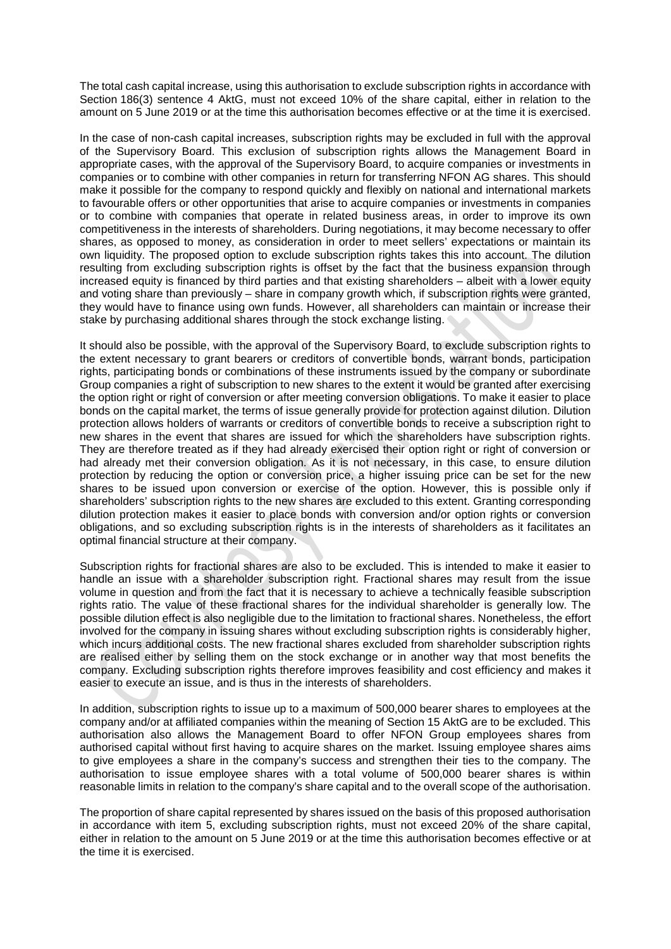The total cash capital increase, using this authorisation to exclude subscription rights in accordance with Section 186(3) sentence 4 AktG, must not exceed 10% of the share capital, either in relation to the amount on 5 June 2019 or at the time this authorisation becomes effective or at the time it is exercised.

In the case of non-cash capital increases, subscription rights may be excluded in full with the approval of the Supervisory Board. This exclusion of subscription rights allows the Management Board in appropriate cases, with the approval of the Supervisory Board, to acquire companies or investments in companies or to combine with other companies in return for transferring NFON AG shares. This should make it possible for the company to respond quickly and flexibly on national and international markets to favourable offers or other opportunities that arise to acquire companies or investments in companies or to combine with companies that operate in related business areas, in order to improve its own competitiveness in the interests of shareholders. During negotiations, it may become necessary to offer shares, as opposed to money, as consideration in order to meet sellers' expectations or maintain its own liquidity. The proposed option to exclude subscription rights takes this into account. The dilution resulting from excluding subscription rights is offset by the fact that the business expansion through increased equity is financed by third parties and that existing shareholders – albeit with a lower equity and voting share than previously – share in company growth which, if subscription rights were granted, they would have to finance using own funds. However, all shareholders can maintain or increase their stake by purchasing additional shares through the stock exchange listing.

It should also be possible, with the approval of the Supervisory Board, to exclude subscription rights to the extent necessary to grant bearers or creditors of convertible bonds, warrant bonds, participation rights, participating bonds or combinations of these instruments issued by the company or subordinate Group companies a right of subscription to new shares to the extent it would be granted after exercising the option right or right of conversion or after meeting conversion obligations. To make it easier to place bonds on the capital market, the terms of issue generally provide for protection against dilution. Dilution protection allows holders of warrants or creditors of convertible bonds to receive a subscription right to new shares in the event that shares are issued for which the shareholders have subscription rights. They are therefore treated as if they had already exercised their option right or right of conversion or had already met their conversion obligation. As it is not necessary, in this case, to ensure dilution protection by reducing the option or conversion price, a higher issuing price can be set for the new shares to be issued upon conversion or exercise of the option. However, this is possible only if shareholders' subscription rights to the new shares are excluded to this extent. Granting corresponding dilution protection makes it easier to place bonds with conversion and/or option rights or conversion obligations, and so excluding subscription rights is in the interests of shareholders as it facilitates an optimal financial structure at their company.

Subscription rights for fractional shares are also to be excluded. This is intended to make it easier to handle an issue with a shareholder subscription right. Fractional shares may result from the issue volume in question and from the fact that it is necessary to achieve a technically feasible subscription rights ratio. The value of these fractional shares for the individual shareholder is generally low. The possible dilution effect is also negligible due to the limitation to fractional shares. Nonetheless, the effort involved for the company in issuing shares without excluding subscription rights is considerably higher, which incurs additional costs. The new fractional shares excluded from shareholder subscription rights are realised either by selling them on the stock exchange or in another way that most benefits the company. Excluding subscription rights therefore improves feasibility and cost efficiency and makes it easier to execute an issue, and is thus in the interests of shareholders.

In addition, subscription rights to issue up to a maximum of 500,000 bearer shares to employees at the company and/or at affiliated companies within the meaning of Section 15 AktG are to be excluded. This authorisation also allows the Management Board to offer NFON Group employees shares from authorised capital without first having to acquire shares on the market. Issuing employee shares aims to give employees a share in the company's success and strengthen their ties to the company. The authorisation to issue employee shares with a total volume of 500,000 bearer shares is within reasonable limits in relation to the company's share capital and to the overall scope of the authorisation.

The proportion of share capital represented by shares issued on the basis of this proposed authorisation in accordance with item 5, excluding subscription rights, must not exceed 20% of the share capital, either in relation to the amount on 5 June 2019 or at the time this authorisation becomes effective or at the time it is exercised.